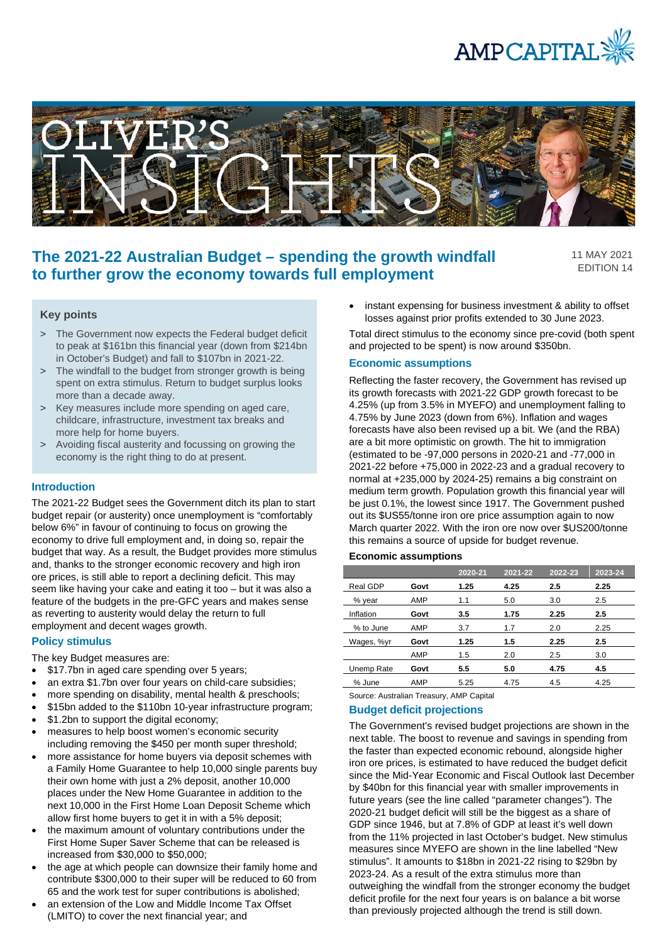



# **The 2021-22 Australian Budget – spending the growth windfall to further grow the economy towards full employment**

11 MAY 2021 EDITION 14

# **Key points**

- > The Government now expects the Federal budget deficit to peak at \$161bn this financial year (down from \$214bn in October's Budget) and fall to \$107bn in 2021-22.
- > The windfall to the budget from stronger growth is being spent on extra stimulus. Return to budget surplus looks more than a decade away.
- > Key measures include more spending on aged care, childcare, infrastructure, investment tax breaks and more help for home buyers.
- > Avoiding fiscal austerity and focussing on growing the economy is the right thing to do at present.

#### **Introduction**

The 2021-22 Budget sees the Government ditch its plan to start budget repair (or austerity) once unemployment is "comfortably below 6%" in favour of continuing to focus on growing the economy to drive full employment and, in doing so, repair the budget that way. As a result, the Budget provides more stimulus and, thanks to the stronger economic recovery and high iron ore prices, is still able to report a declining deficit. This may seem like having your cake and eating it too – but it was also a feature of the budgets in the pre-GFC years and makes sense as reverting to austerity would delay the return to full employment and decent wages growth.

### **Policy stimulus**

The key Budget measures are:

- \$17.7bn in aged care spending over 5 years;
- an extra \$1.7bn over four years on child-care subsidies;
- more spending on disability, mental health & preschools;
- \$15bn added to the \$110bn 10-year infrastructure program;
- \$1.2bn to support the digital economy:
- measures to help boost women's economic security including removing the \$450 per month super threshold;
- more assistance for home buyers via deposit schemes with a Family Home Guarantee to help 10,000 single parents buy their own home with just a 2% deposit, another 10,000 places under the New Home Guarantee in addition to the next 10,000 in the First Home Loan Deposit Scheme which allow first home buyers to get it in with a 5% deposit;
- the maximum amount of voluntary contributions under the First Home Super Saver Scheme that can be released is increased from \$30,000 to \$50,000;
- the age at which people can downsize their family home and contribute \$300,000 to their super will be reduced to 60 from 65 and the work test for super contributions is abolished;
- an extension of the Low and Middle Income Tax Offset (LMITO) to cover the next financial year; and

instant expensing for business investment & ability to offset losses against prior profits extended to 30 June 2023.

Total direct stimulus to the economy since pre-covid (both spent and projected to be spent) is now around \$350bn.

## **Economic assumptions**

Reflecting the faster recovery, the Government has revised up its growth forecasts with 2021-22 GDP growth forecast to be 4.25% (up from 3.5% in MYEFO) and unemployment falling to 4.75% by June 2023 (down from 6%). Inflation and wages forecasts have also been revised up a bit. We (and the RBA) are a bit more optimistic on growth. The hit to immigration (estimated to be -97,000 persons in 2020-21 and -77,000 in 2021-22 before +75,000 in 2022-23 and a gradual recovery to normal at +235,000 by 2024-25) remains a big constraint on medium term growth. Population growth this financial year will be just 0.1%, the lowest since 1917. The Government pushed out its \$US55/tonne iron ore price assumption again to now March quarter 2022. With the iron ore now over \$US200/tonne this remains a source of upside for budget revenue.

# **Economic assumptions**

|            |      | 2020-21 | 2021-22 | 2022-23 | 2023-24 |
|------------|------|---------|---------|---------|---------|
| Real GDP   | Govt | 1.25    | 4.25    | $2.5\,$ | 2.25    |
| % year     | AMP  | 1.1     | 5.0     | 3.0     | 2.5     |
| Inflation  | Govt | 3.5     | 1.75    | 2.25    | 2.5     |
| % to June  | AMP  | 3.7     | 1.7     | 2.0     | 2.25    |
| Wages, %yr | Govt | 1.25    | 1.5     | 2.25    | 2.5     |
|            | AMP  | 1.5     | 2.0     | 2.5     | 3.0     |
| Unemp Rate | Govt | 5.5     | 5.0     | 4.75    | 4.5     |
| % June     | AMP  | 5.25    | 4.75    | 4.5     | 4.25    |

Source: Australian Treasury, AMP Capital

#### **Budget deficit projections**

The Government's revised budget projections are shown in the next table. The boost to revenue and savings in spending from the faster than expected economic rebound, alongside higher iron ore prices, is estimated to have reduced the budget deficit since the Mid-Year Economic and Fiscal Outlook last December by \$40bn for this financial year with smaller improvements in future years (see the line called "parameter changes"). The 2020-21 budget deficit will still be the biggest as a share of GDP since 1946, but at 7.8% of GDP at least it's well down from the 11% projected in last October's budget. New stimulus measures since MYEFO are shown in the line labelled "New stimulus". It amounts to \$18bn in 2021-22 rising to \$29bn by 2023-24. As a result of the extra stimulus more than outweighing the windfall from the stronger economy the budget deficit profile for the next four years is on balance a bit worse than previously projected although the trend is still down.